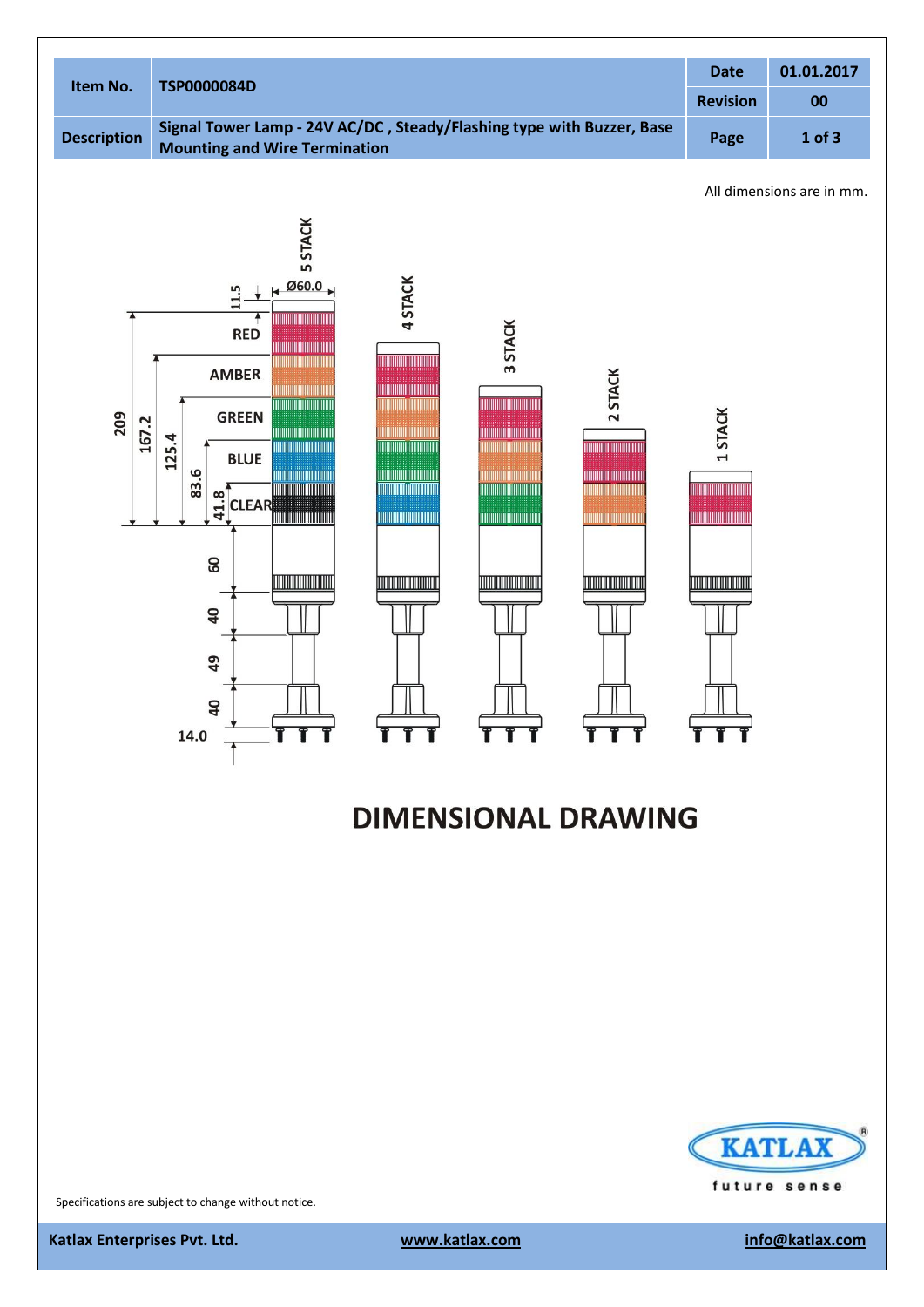

# **DIMENSIONAL DRAWING**



Specifications are subject to change without notice.

**Katlax Enterprises Pvt. Ltd.** With the state of the state www.katlax.com info@katlax.com info@katlax.com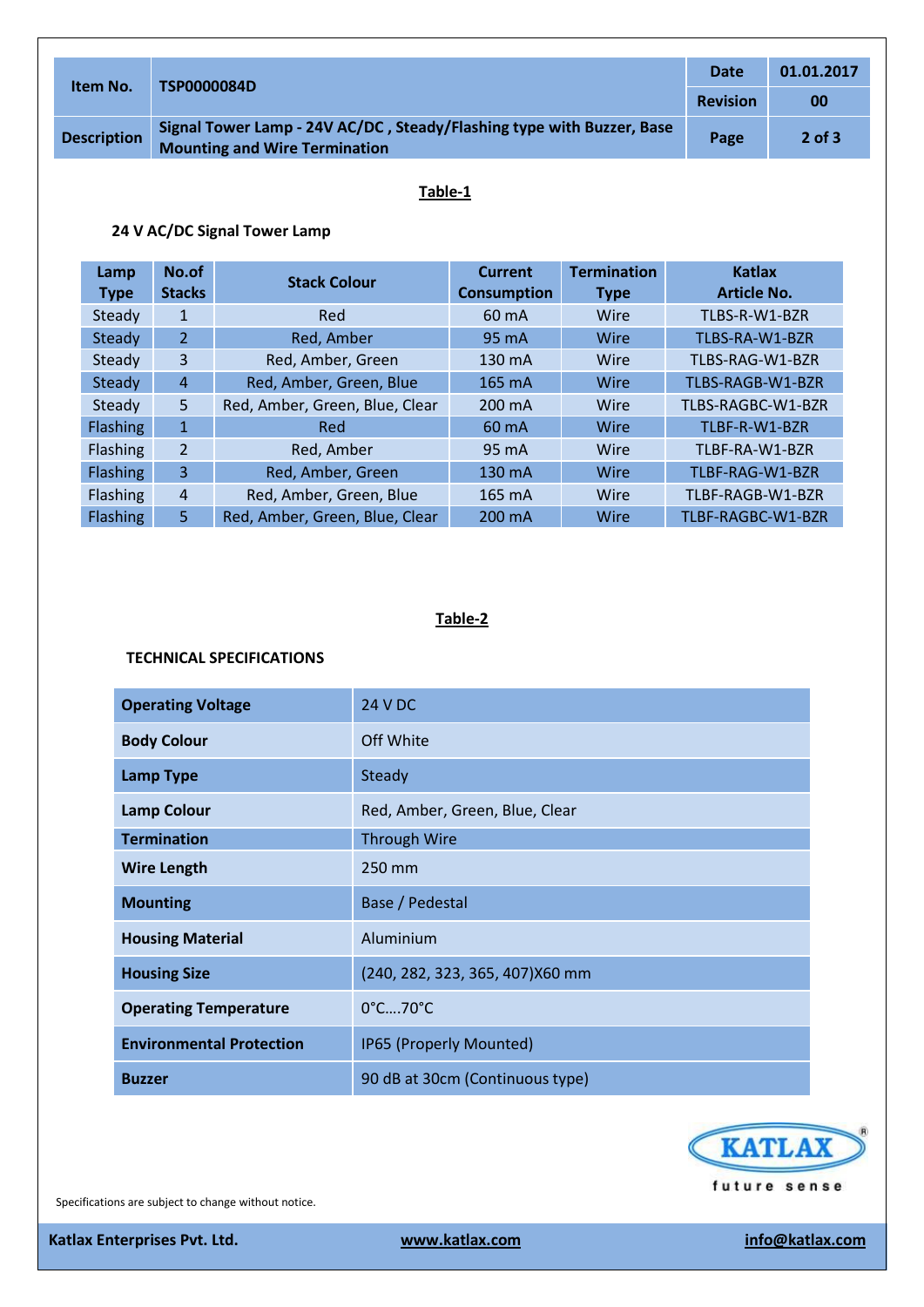| Item No.           | <b>TSP0000084D</b>                                                                                            | <b>Date</b>     | 01.01.2017 |
|--------------------|---------------------------------------------------------------------------------------------------------------|-----------------|------------|
|                    |                                                                                                               | <b>Revision</b> | 00         |
| <b>Description</b> | Signal Tower Lamp - 24V AC/DC, Steady/Flashing type with Buzzer, Base<br><b>Mounting and Wire Termination</b> | Page            | $2$ of $3$ |

### **Table-1**

## **24 V AC/DC Signal Tower Lamp**

| Lamp<br><b>Type</b> | No.of<br><b>Stacks</b> | <b>Stack Colour</b>            | <b>Current</b><br><b>Consumption</b> | <b>Termination</b><br><b>Type</b> | <b>Katlax</b><br>Article No. |
|---------------------|------------------------|--------------------------------|--------------------------------------|-----------------------------------|------------------------------|
| Steady              | 1                      | Red                            | 60 mA                                | Wire                              | TLBS-R-W1-BZR                |
| Steady              | $\overline{2}$         | Red, Amber                     | 95 mA                                | Wire                              | TLBS-RA-W1-BZR               |
| Steady              | 3                      | Red, Amber, Green              | 130 mA                               | Wire                              | TLBS-RAG-W1-BZR              |
| Steady              | $\overline{4}$         | Red, Amber, Green, Blue        | 165 mA                               | Wire                              | TLBS-RAGB-W1-BZR             |
| Steady              | 5                      | Red, Amber, Green, Blue, Clear | 200 mA                               | Wire                              | TLBS-RAGBC-W1-BZR            |
| Flashing            | $\mathbf{1}$           | Red                            | 60 mA                                | Wire                              | TLBF-R-W1-BZR                |
| <b>Flashing</b>     | $\overline{2}$         | Red, Amber                     | 95 mA                                | Wire                              | TLBF-RA-W1-BZR               |
| <b>Flashing</b>     | 3                      | Red, Amber, Green              | 130 mA                               | Wire                              | TLBF-RAG-W1-BZR              |
| <b>Flashing</b>     | $\overline{4}$         | Red, Amber, Green, Blue        | 165 mA                               | Wire                              | TLBF-RAGB-W1-BZR             |
| <b>Flashing</b>     | 5.                     | Red, Amber, Green, Blue, Clear | 200 mA                               | Wire                              | TLBF-RAGBC-W1-BZR            |

## **Table-2**

#### **TECHNICAL SPECIFICATIONS**

| <b>Operating Voltage</b>        | <b>24 V DC</b>                   |
|---------------------------------|----------------------------------|
| <b>Body Colour</b>              | Off White                        |
| <b>Lamp Type</b>                | Steady                           |
| <b>Lamp Colour</b>              | Red, Amber, Green, Blue, Clear   |
| <b>Termination</b>              | <b>Through Wire</b>              |
| <b>Wire Length</b>              | 250 mm                           |
| <b>Mounting</b>                 | Base / Pedestal                  |
| <b>Housing Material</b>         | Aluminium                        |
| <b>Housing Size</b>             | (240, 282, 323, 365, 407) X60 mm |
| <b>Operating Temperature</b>    | 0°C70°C                          |
| <b>Environmental Protection</b> | IP65 (Properly Mounted)          |
| <b>Buzzer</b>                   | 90 dB at 30cm (Continuous type)  |



Specifications are subject to change without notice.

**Katlax Enterprises Pvt. Ltd.** With the state of the state www.katlax.com info@katlax.com info@katlax.com